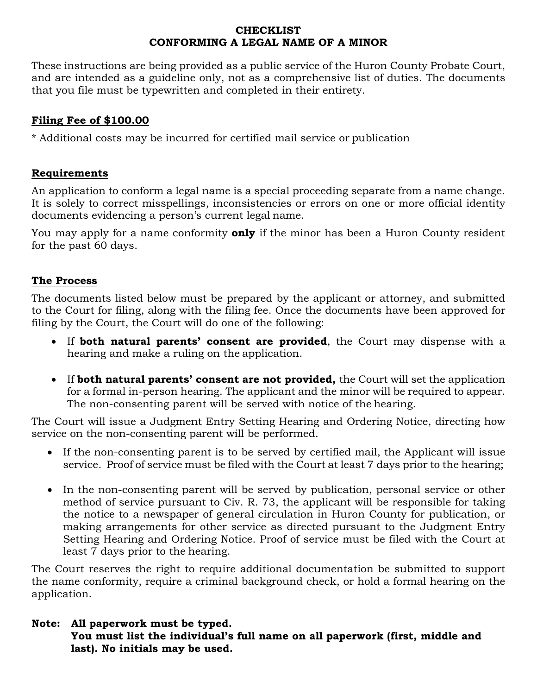#### **CHECKLIST CONFORMING A LEGAL NAME OF A MINOR**

These instructions are being provided as a public service of the Huron County Probate Court, and are intended as a guideline only, not as a comprehensive list of duties. The documents that you file must be typewritten and completed in their entirety.

# **Filing Fee of \$100.00**

\* Additional costs may be incurred for certified mail service or publication

## **Requirements**

An application to conform a legal name is a special proceeding separate from a name change. It is solely to correct misspellings, inconsistencies or errors on one or more official identity documents evidencing a person's current legal name.

You may apply for a name conformity **only** if the minor has been a Huron County resident for the past 60 days.

## **The Process**

The documents listed below must be prepared by the applicant or attorney, and submitted to the Court for filing, along with the filing fee. Once the documents have been approved for filing by the Court, the Court will do one of the following:

- If **both natural parents' consent are provided**, the Court may dispense with a hearing and make a ruling on the application.
- If **both natural parents' consent are not provided,** the Court will set the application for a formal in-person hearing. The applicant and the minor will be required to appear. The non-consenting parent will be served with notice of the hearing.

The Court will issue a Judgment Entry Setting Hearing and Ordering Notice, directing how service on the non-consenting parent will be performed.

- If the non-consenting parent is to be served by certified mail, the Applicant will issue service. Proof of service must be filed with the Court at least 7 days prior to the hearing;
- In the non-consenting parent will be served by publication, personal service or other method of service pursuant to Civ. R. 73, the applicant will be responsible for taking the notice to a newspaper of general circulation in Huron County for publication, or making arrangements for other service as directed pursuant to the Judgment Entry Setting Hearing and Ordering Notice. Proof of service must be filed with the Court at least 7 days prior to the hearing.

The Court reserves the right to require additional documentation be submitted to support the name conformity, require a criminal background check, or hold a formal hearing on the application.

## **Note: All paperwork must be typed. You must list the individual's full name on all paperwork (first, middle and last). No initials may be used.**